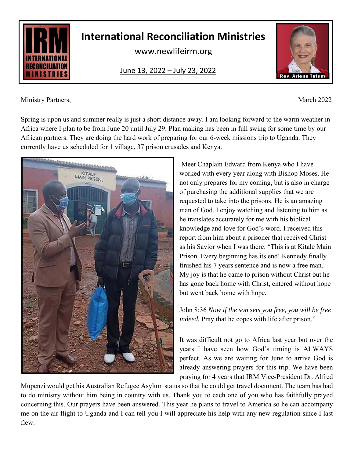

## **International Reconciliation Ministries**

www.newlifeirm.org

June 13, 2022 – July 23, 2022

Ministry Partners, March 2022

Spring is upon us and summer really is just a short distance away. I am looking forward to the warm weather in Africa where I plan to be from June 20 until July 29. Plan making has been in full swing for some time by our African partners. They are doing the hard work of preparing for our 6-week missions trip to Uganda. They currently have us scheduled for 1 village, 37 prison crusades and Kenya.



Meet Chaplain Edward from Kenya who I have worked with every year along with Bishop Moses. He not only prepares for my coming, but is also in charge of purchasing the additional supplies that we are requested to take into the prisons. He is an amazing man of God. I enjoy watching and listening to him as he translates accurately for me with his biblical knowledge and love for God's word. I received this report from him about a prisoner that received Christ as his Savior when I was there: "This is at Kitale Main Prison. Every beginning has its end! Kennedy finally finished his 7 years sentence and is now a free man. My joy is that he came to prison without Christ but he has gone back home with Christ, entered without hope but went back home with hope.

John 8:36 *Now if the son sets you free, you will be free indeed.* Pray that he copes with life after prison."

It was difficult not go to Africa last year but over the years I have seen how God's timing is ALWAYS perfect. As we are waiting for June to arrive God is already answering prayers for this trip. We have been praying for 4 years that IRM Vice-President Dr. Alfred

Mupenzi would get his Australian Refugee Asylum status so that he could get travel document. The team has had to do ministry without him being in country with us. Thank you to each one of you who has faithfully prayed concerning this. Our prayers have been answered. This year he plans to travel to America so he can accompany me on the air flight to Uganda and I can tell you I will appreciate his help with any new regulation since I last flew.